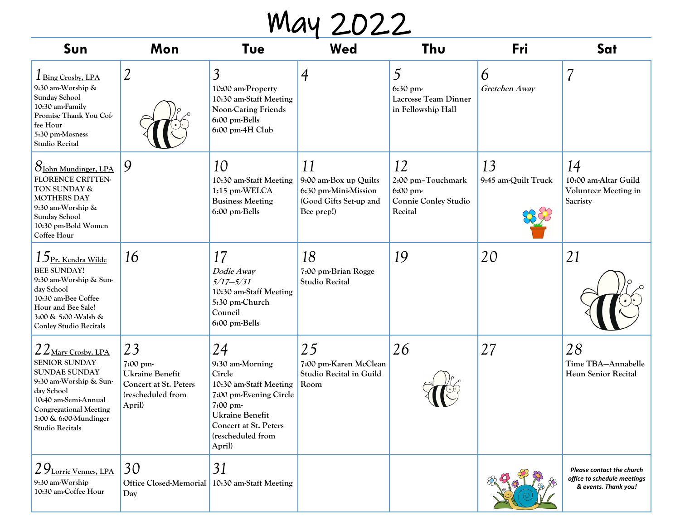# May 2022

| Sun                                                                                                                                                                                                                                    | Mon                                                                                                     | <b>Tue</b>                                                                                                                                                                        | Wed                                                                                         | Thu                                                                    | Fri                       | Sat                                                                                     |
|----------------------------------------------------------------------------------------------------------------------------------------------------------------------------------------------------------------------------------------|---------------------------------------------------------------------------------------------------------|-----------------------------------------------------------------------------------------------------------------------------------------------------------------------------------|---------------------------------------------------------------------------------------------|------------------------------------------------------------------------|---------------------------|-----------------------------------------------------------------------------------------|
| 1 Bing Crosby, LPA<br>9:30 am-Worship &<br>Sunday School<br>10:30 am-Family<br>Promise Thank You Cof-<br>fee Hour<br>5:30 pm-Mosness<br><b>Studio Recital</b>                                                                          | 2                                                                                                       | $\overline{3}$<br>10:00 am-Property<br>10:30 am-Staff Meeting<br>Noon-Caring Friends<br>6:00 pm-Bells<br>6:00 pm-4H Club                                                          | $\overline{A}$                                                                              | 5<br>6:30 pm-<br>Lacrosse Team Dinner<br>in Fellowship Hall            | 6<br>Gretchen Away        | 7                                                                                       |
| 8 <u>John Mundinger, LPA</u><br>FLORENCE CRITTEN-<br>TON SUNDAY &<br><b>MOTHERS DAY</b><br>9:30 am-Worship &<br>Sunday School<br>10:30 pm-Bold Women<br>Coffee Hour                                                                    | 9                                                                                                       | 10<br>10:30 am-Staff Meeting<br>1:15 pm-WELCA<br><b>Business Meeting</b><br>6:00 pm-Bells                                                                                         | 11<br>9:00 am-Box up Quilts<br>6:30 pm-Mini-Mission<br>(Good Gifts Set-up and<br>Bee prep!) | 12<br>2:00 pm-Touchmark<br>6:00 pm-<br>Connie Conley Studio<br>Recital | 13<br>9:45 am-Quilt Truck | 14<br>10:00 am-Altar Guild<br><b>Volunteer Meeting in</b><br>Sacristy                   |
| $15$ <u>Pr. Kendra Wilde</u><br><b>BEE SUNDAY!</b><br>9:30 am-Worship & Sun-<br>day School<br>10:30 am-Bee Coffee<br>Hour and Bee Sale!<br>3:00 & 5:00 Walsh &<br><b>Conley Studio Recitals</b>                                        | 16                                                                                                      | 17<br>Dodie Away<br>$5/17 - 5/31$<br>10:30 am-Staff Meeting<br>5:30 pm-Church<br>Council<br>6:00 pm-Bells                                                                         | 18<br>7:00 pm-Brian Rogge<br><b>Studio Recital</b>                                          | 19                                                                     | 20                        | 21                                                                                      |
| $\angle$ $\angle$ Mary Crosby, LPA<br><b>SENIOR SUNDAY</b><br><b>SUNDAE SUNDAY</b><br>9:30 am-Worship & Sun-<br>day School<br>10:40 am-Semi-Annual<br><b>Congregational Meeting</b><br>1:00 & 6:00-Mundinger<br><b>Studio Recitals</b> | 23<br>7:00 pm-<br><b>Ukraine Benefit</b><br><b>Concert at St. Peters</b><br>(rescheduled from<br>April) | 24<br>9:30 am-Morning<br>Circle<br>10:30 am-Staff Meeting<br>7:00 pm-Evening Circle<br>7:00 pm-<br><b>Ukraine Benefit</b><br>Concert at St. Peters<br>(rescheduled from<br>April) | 25<br>7:00 pm-Karen McClean<br>Studio Recital in Guild<br>Room                              | 26                                                                     | 27                        | 28<br>Time TBA-Annabelle<br><b>Heun Senior Recital</b>                                  |
| $29$ Lorrie Vennes, LPA<br>9:30 am-Worship<br>10:30 am-Coffee Hour                                                                                                                                                                     | 30<br>Office Closed-Memorial 10:30 am-Staff Meeting<br>Day                                              | 31                                                                                                                                                                                |                                                                                             |                                                                        |                           | <b>Please contact the church</b><br>office to schedule meetings<br>& events. Thank you! |